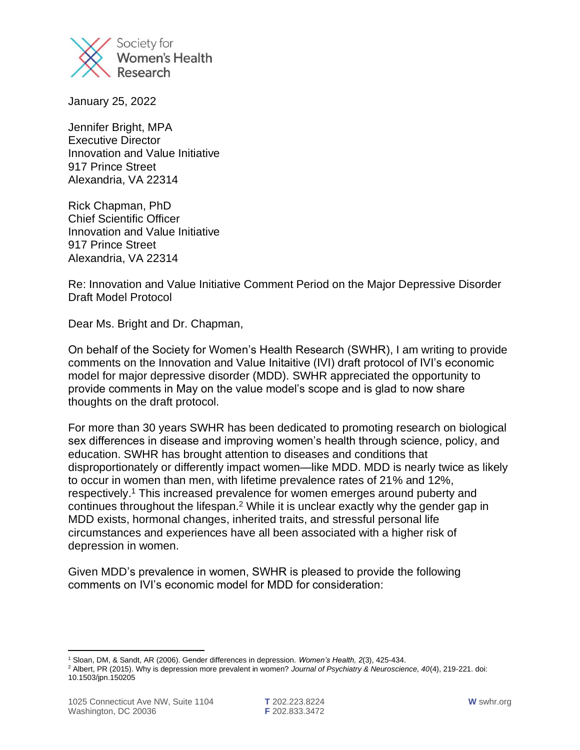

January 25, 2022

Jennifer Bright, MPA Executive Director Innovation and Value Initiative 917 Prince Street Alexandria, VA 22314

Rick Chapman, PhD Chief Scientific Officer Innovation and Value Initiative 917 Prince Street Alexandria, VA 22314

Re: Innovation and Value Initiative Comment Period on the Major Depressive Disorder Draft Model Protocol

Dear Ms. Bright and Dr. Chapman,

On behalf of the Society for Women's Health Research (SWHR), I am writing to provide comments on the Innovation and Value Initaitive (IVI) draft protocol of IVI's economic model for major depressive disorder (MDD). SWHR appreciated the opportunity to provide comments in May on the value model's scope and is glad to now share thoughts on the draft protocol.

For more than 30 years SWHR has been dedicated to promoting research on biological sex differences in disease and improving women's health through science, policy, and education. SWHR has brought attention to diseases and conditions that disproportionately or differently impact women—like MDD. MDD is nearly twice as likely to occur in women than men, with lifetime prevalence rates of 21% and 12%, respectively.<sup>1</sup> This increased prevalence for women emerges around puberty and continues throughout the lifespan.<sup>2</sup> While it is unclear exactly why the gender gap in MDD exists, hormonal changes, inherited traits, and stressful personal life circumstances and experiences have all been associated with a higher risk of depression in women.

Given MDD's prevalence in women, SWHR is pleased to provide the following comments on IVI's economic model for MDD for consideration:

<sup>1</sup> Sloan, DM, & Sandt, AR (2006). Gender differences in depression. *Women's Health, 2*(3), 425-434.

<sup>2</sup> Albert, PR (2015). Why is depression more prevalent in women? *Journal of Psychiatry & Neuroscience, 40*(4), 219-221. doi: 10.1503/jpn.150205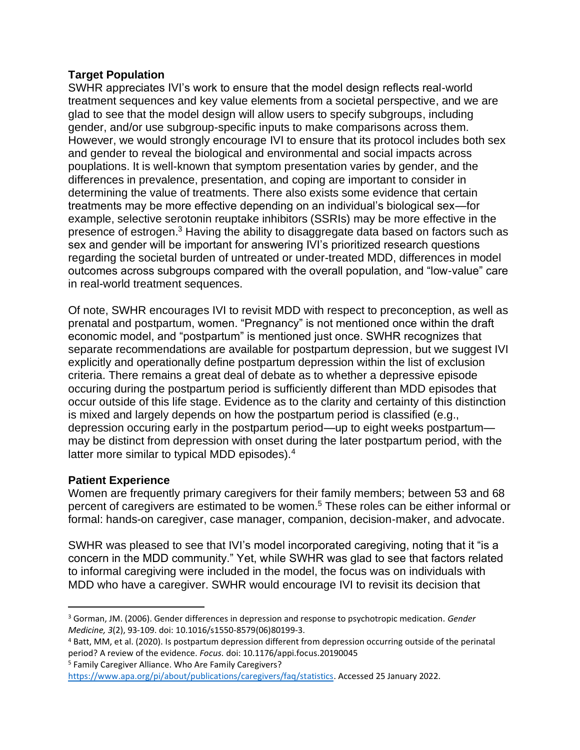## **Target Population**

SWHR appreciates IVI's work to ensure that the model design reflects real-world treatment sequences and key value elements from a societal perspective, and we are glad to see that the model design will allow users to specify subgroups, including gender, and/or use subgroup-specific inputs to make comparisons across them. However, we would strongly encourage IVI to ensure that its protocol includes both sex and gender to reveal the biological and environmental and social impacts across pouplations. It is well-known that symptom presentation varies by gender, and the differences in prevalence, presentation, and coping are important to consider in determining the value of treatments. There also exists some evidence that certain treatments may be more effective depending on an individual's biological sex—for example, selective serotonin reuptake inhibitors (SSRIs) may be more effective in the presence of estrogen.<sup>3</sup> Having the ability to disaggregate data based on factors such as sex and gender will be important for answering IVI's prioritized research questions regarding the societal burden of untreated or under-treated MDD, differences in model outcomes across subgroups compared with the overall population, and "low-value" care in real-world treatment sequences.

Of note, SWHR encourages IVI to revisit MDD with respect to preconception, as well as prenatal and postpartum, women. "Pregnancy" is not mentioned once within the draft economic model, and "postpartum" is mentioned just once. SWHR recognizes that separate recommendations are available for postpartum depression, but we suggest IVI explicitly and operationally define postpartum depression within the list of exclusion criteria. There remains a great deal of debate as to whether a depressive episode occuring during the postpartum period is sufficiently different than MDD episodes that occur outside of this life stage. Evidence as to the clarity and certainty of this distinction is mixed and largely depends on how the postpartum period is classified (e.g., depression occuring early in the postpartum period—up to eight weeks postpartum may be distinct from depression with onset during the later postpartum period, with the latter more similar to typical MDD episodes).<sup>4</sup>

## **Patient Experience**

Women are frequently primary caregivers for their family members; between 53 and 68 percent of caregivers are estimated to be women.<sup>5</sup> These roles can be either informal or formal: hands-on caregiver, case manager, companion, decision-maker, and advocate.

SWHR was pleased to see that IVI's model incorporated caregiving, noting that it "is a concern in the MDD community." Yet, while SWHR was glad to see that factors related to informal caregiving were included in the model, the focus was on individuals with MDD who have a caregiver. SWHR would encourage IVI to revisit its decision that

<sup>5</sup> Family Caregiver Alliance. Who Are Family Caregivers?

<sup>3</sup> Gorman, JM. (2006). Gender differences in depression and response to psychotropic medication. *Gender Medicine, 3*(2), 93-109. doi: 10.1016/s1550-8579(06)80199-3.

<sup>4</sup> Batt, MM, et al. (2020). Is postpartum depression different from depression occurring outside of the perinatal period? A review of the evidence. *Focus.* doi: 10.1176/appi.focus.20190045

[https://www.apa.org/pi/about/publications/caregivers/faq/statistics.](https://www.apa.org/pi/about/publications/caregivers/faq/statistics) Accessed 25 January 2022.